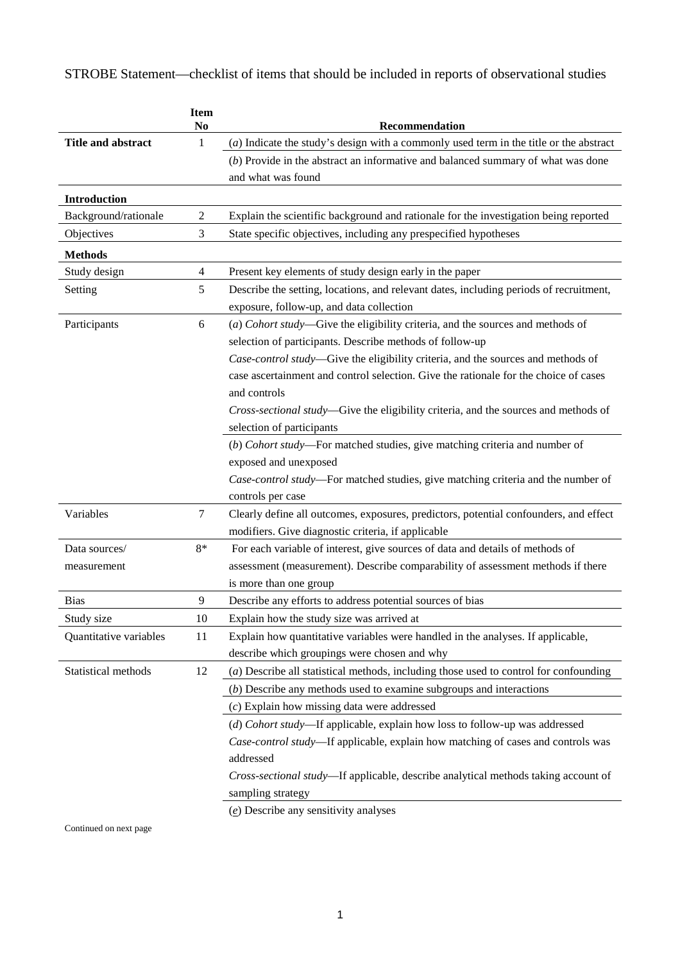STROBE Statement—checklist of items that should be included in reports of observational studies

|                        | <b>Item</b><br>N <sub>0</sub> | Recommendation                                                                          |
|------------------------|-------------------------------|-----------------------------------------------------------------------------------------|
| Title and abstract     | 1                             | (a) Indicate the study's design with a commonly used term in the title or the abstract  |
|                        |                               | $(b)$ Provide in the abstract an informative and balanced summary of what was done      |
|                        |                               | and what was found                                                                      |
| Introduction           |                               |                                                                                         |
| Background/rationale   | $\overline{c}$                | Explain the scientific background and rationale for the investigation being reported    |
| Objectives             | 3                             | State specific objectives, including any prespecified hypotheses                        |
| <b>Methods</b>         |                               |                                                                                         |
| Study design           | 4                             | Present key elements of study design early in the paper                                 |
| Setting                | 5                             | Describe the setting, locations, and relevant dates, including periods of recruitment,  |
|                        |                               | exposure, follow-up, and data collection                                                |
| Participants           | 6                             | (a) Cohort study-Give the eligibility criteria, and the sources and methods of          |
|                        |                               | selection of participants. Describe methods of follow-up                                |
|                        |                               | Case-control study-Give the eligibility criteria, and the sources and methods of        |
|                        |                               | case ascertainment and control selection. Give the rationale for the choice of cases    |
|                        |                               | and controls                                                                            |
|                        |                               | Cross-sectional study-Give the eligibility criteria, and the sources and methods of     |
|                        |                               | selection of participants                                                               |
|                        |                               | (b) Cohort study-For matched studies, give matching criteria and number of              |
|                        |                               | exposed and unexposed                                                                   |
|                        |                               | Case-control study-For matched studies, give matching criteria and the number of        |
|                        |                               | controls per case                                                                       |
| Variables              | 7                             | Clearly define all outcomes, exposures, predictors, potential confounders, and effect   |
|                        |                               | modifiers. Give diagnostic criteria, if applicable                                      |
| Data sources/          | $8*$                          | For each variable of interest, give sources of data and details of methods of           |
| measurement            |                               | assessment (measurement). Describe comparability of assessment methods if there         |
|                        |                               | is more than one group                                                                  |
| <b>Bias</b>            | 9                             | Describe any efforts to address potential sources of bias                               |
| Study size             | 10                            | Explain how the study size was arrived at                                               |
| Quantitative variables | 11                            | Explain how quantitative variables were handled in the analyses. If applicable,         |
|                        |                               | describe which groupings were chosen and why                                            |
| Statistical methods    | 12                            | $(a)$ Describe all statistical methods, including those used to control for confounding |
|                        |                               | $(b)$ Describe any methods used to examine subgroups and interactions                   |
|                        |                               | $(c)$ Explain how missing data were addressed                                           |
|                        |                               | (d) Cohort study-If applicable, explain how loss to follow-up was addressed             |
|                        |                               | Case-control study-If applicable, explain how matching of cases and controls was        |
|                        |                               | addressed                                                                               |
|                        |                               | Cross-sectional study-If applicable, describe analytical methods taking account of      |
|                        |                               | sampling strategy                                                                       |
|                        |                               | $(e)$ Describe any sensitivity analyses                                                 |

Continued on next page